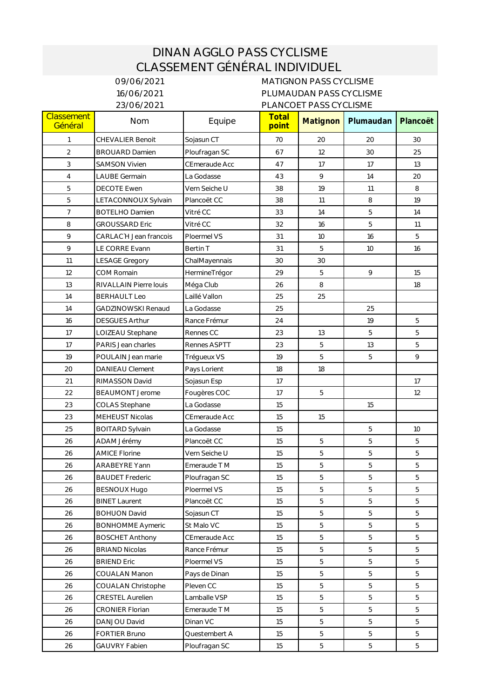## DINAN AGGLO PASS CYCLISME CLASSEMENT GÉNÉRAL INDIVIDUEL

09/06/2021 MATIGNON PASS CYCLISME 16/06/2021 PLUMAUDAN PASS CYCLISME 23/06/2021 PLANCOET PASS CYCLISME

| <b>Classement</b><br>Général | Nom                           | Equipe        | Total<br>point | Matignon | Plumaudan | Plancoët |
|------------------------------|-------------------------------|---------------|----------------|----------|-----------|----------|
| 1                            | <b>CHEVALIER Benoit</b>       | Sojasun CT    | 70             | 20       | 20        | 30       |
| 2                            | <b>BROUARD Damien</b>         | Ploufragan SC | 67             | 12       | 30        | 25       |
| 3                            | <b>SAMSON Vivien</b>          | CEmeraude Acc | 47             | 17       | 17        | 13       |
| $\overline{4}$               | <b>LAUBE Germain</b>          | La Godasse    | 43             | 9        | 14        | 20       |
| 5                            | <b>DECOTE Ewen</b>            | Vern Seiche U | 38             | 19       | 11        | 8        |
| 5                            | LETACONNOUX Sylvain           | Plancoët CC   | 38             | 11       | 8         | 19       |
| 7                            | <b>BOTELHO Damien</b>         | Vitré CC      | 33             | 14       | 5         | 14       |
| 8                            | <b>GROUSSARD Eric</b>         | Vitré CC      | 32             | 16       | 5         | 11       |
| $\circ$                      | <b>CARLAC</b> H Jean francois | Ploermel VS   | 31             | 10       | 16        | 5        |
| 9                            | LE CORRE Evann                | Bertin T      | 31             | 5        | 10        | 16       |
| 11                           | <b>LESAGE Gregory</b>         | ChalMayennais | 30             | 30       |           |          |
| 12                           | COM Romain                    | HermineTrégor | 29             | 5        | 9         | 15       |
| 13                           | RIVALLAIN Pierre louis        | Méga Club     | 26             | 8        |           | 18       |
| 14                           | <b>BERHAULT Leo</b>           | Laillé Vallon | 25             | 25       |           |          |
| 14                           | <b>GADZINOWSKI Renaud</b>     | La Godasse    | 25             |          | 25        |          |
| 16                           | <b>DESGUES Arthur</b>         | Rance Frémur  | 24             |          | 19        | 5        |
| 17                           | LOIZEAU Stephane              | Rennes CC     | 23             | 13       | 5         | 5        |
| 17                           | PARIS Jean charles            | Rennes ASPTT  | 23             | 5        | 13        | 5        |
| 19                           | POULAIN Jean marie            | Trégueux VS   | 19             | 5        | 5         | 9        |
| 20                           | <b>DANIEAU Clement</b>        | Pays Lorient  | 18             | 18       |           |          |
| 21                           | RIMASSON David                | Sojasun Esp   | 17             |          |           | 17       |
| 22                           | <b>BEAUMONT Jerome</b>        | Fougères COC  | 17             | 5        |           | 12       |
| 23                           | <b>COLAS Stephane</b>         | La Godasse    | 15             |          | 15        |          |
| 23                           | <b>MEHEUST Nicolas</b>        | CEmeraude Acc | 15             | 15       |           |          |
| 25                           | <b>BOITARD Sylvain</b>        | La Godasse    | 15             |          | 5         | 10       |
| 26                           | ADAM Jérémy                   | Plancoët CC   | 15             | 5        | 5         | 5        |
| 26                           | <b>AMICE Florine</b>          | Vern Seiche U | 15             | 5        | 5         | 5        |
| 26                           | ARABEYRE Yann                 | Emeraude T M  | 15             | 5        | 5         | 5        |
| 26                           | <b>BAUDET Frederic</b>        | Ploufragan SC | 15             | 5        | 5         | 5        |
| 26                           | BESNOUX Hugo                  | Ploermel VS   | 15             | 5        | 5         | 5        |
| 26                           | <b>BINET Laurent</b>          | Plancoët CC   | 15             | 5        | 5         | 5        |
| 26                           | <b>BOHUON David</b>           | Sojasun CT    | 15             | 5        | 5         | 5        |
| 26                           | <b>BONHOMME Aymeric</b>       | St Malo VC    | 15             | 5        | 5         | 5        |
| 26                           | <b>BOSCHET Anthony</b>        | CEmeraude Acc | 15             | 5        | 5         | 5        |
| 26                           | <b>BRIAND Nicolas</b>         | Rance Frémur  | 15             | 5        | 5         | 5        |
| 26                           | <b>BRIEND Eric</b>            | Ploermel VS   | 15             | 5        | 5         | 5        |
| 26                           | COUALAN Manon                 | Pays de Dinan | 15             | 5        | 5         | 5        |
| 26                           | COUALAN Christophe            | Pleven CC     | 15             | 5        | 5         | 5        |
| 26                           | <b>CRESTEL Aurelien</b>       | Lamballe VSP  | 15             | 5        | 5         | 5        |
| 26                           | <b>CRONIER Florian</b>        | Emeraude T M  | 15             | 5        | 5         | 5        |
| 26                           | DANJOU David                  | Dinan VC      | 15             | 5        | 5         | 5        |
| 26                           | <b>FORTIER Bruno</b>          | Questembert A | 15             | 5        | 5         | 5        |
| 26                           | <b>GAUVRY Fabien</b>          | Ploufragan SC | 15             | 5        | 5         | 5        |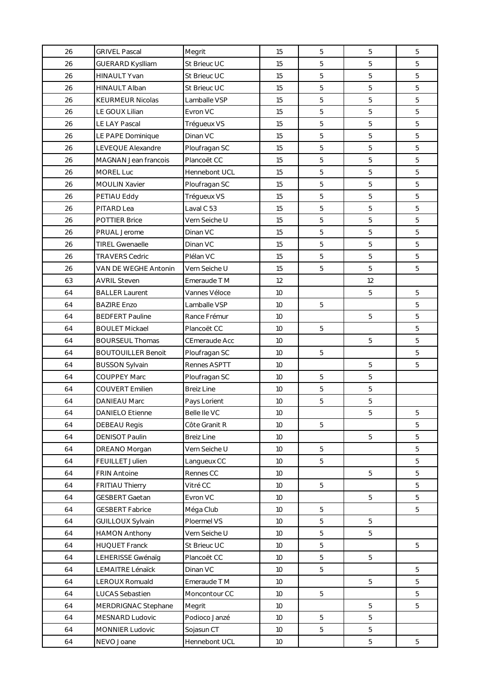| 26 | <b>GRIVEL Pascal</b>      | Megrit            | 15              | 5 | 5  | 5 |
|----|---------------------------|-------------------|-----------------|---|----|---|
| 26 | <b>GUERARD Kyslliam</b>   | St Brieuc UC      | 15              | 5 | 5  | 5 |
| 26 | <b>HINAULT Yvan</b>       | St Brieuc UC      | 15              | 5 | 5  | 5 |
| 26 | HINAULT Alban             | St Brieuc UC      | 15              | 5 | 5  | 5 |
| 26 | <b>KEURMEUR Nicolas</b>   | Lamballe VSP      | 15              | 5 | 5  | 5 |
| 26 | LE GOUX Lilian            | Evron VC          | 15              | 5 | 5  | 5 |
| 26 | LE LAY Pascal             | Trégueux VS       | 15              | 5 | 5  | 5 |
| 26 | LE PAPE Dominique         | Dinan VC          | 15              | 5 | 5  | 5 |
| 26 | LEVEQUE Alexandre         | Ploufragan SC     | 15              | 5 | 5  | 5 |
| 26 | MAGNAN Jean francois      | Plancoët CC       | 15              | 5 | 5  | 5 |
| 26 | <b>MOREL Luc</b>          | Hennebont UCL     | 15              | 5 | 5  | 5 |
| 26 | <b>MOULIN Xavier</b>      | Ploufragan SC     | 15              | 5 | 5  | 5 |
| 26 | PETIAU Eddy               | Trégueux VS       | 15              | 5 | 5  | 5 |
| 26 | PITARD Lea                | Laval C 53        | 15              | 5 | 5  | 5 |
| 26 | POTTIER Brice             | Vern Seiche U     | 15              | 5 | 5  | 5 |
| 26 | PRUAL Jerome              | Dinan VC          | 15              | 5 | 5  | 5 |
| 26 | <b>TIREL Gwenaelle</b>    | Dinan VC          | 15              | 5 | 5  | 5 |
| 26 | <b>TRAVERS Cedric</b>     | Plélan VC         | 15              | 5 | 5  | 5 |
| 26 | VAN DE WEGHE Antonin      | Vern Seiche U     | 15              | 5 | 5  | 5 |
| 63 | <b>AVRIL Steven</b>       | Emeraude T M      | 12              |   | 12 |   |
| 64 | <b>BALLER Laurent</b>     | Vannes Véloce     | 10              |   | 5  | 5 |
| 64 | <b>BAZIRE Enzo</b>        | Lamballe VSP      | 10              | 5 |    | 5 |
| 64 | <b>BEDFERT Pauline</b>    | Rance Frémur      | 10              |   | 5  | 5 |
| 64 | <b>BOULET Mickael</b>     | Plancoët CC       | 10              | 5 |    | 5 |
| 64 | <b>BOURSEUL Thomas</b>    | CEmeraude Acc     | 10              |   | 5  | 5 |
| 64 | <b>BOUTOUILLER Benoit</b> | Ploufragan SC     | 10              | 5 |    | 5 |
| 64 | <b>BUSSON Sylvain</b>     | Rennes ASPTT      | 10              |   | 5  | 5 |
| 64 | <b>COUPPEY Marc</b>       | Ploufragan SC     | 10              | 5 | 5  |   |
| 64 | <b>COUVERT Emilien</b>    | <b>Breiz Line</b> | 10              | 5 | 5  |   |
| 64 | <b>DANIEAU Marc</b>       | Pays Lorient      | 10              | 5 | 5  |   |
| 64 | <b>DANIELO Etienne</b>    | Belle Ile VC      | 10              |   | 5  | 5 |
| 64 | <b>DEBEAU Regis</b>       | Côte Granit R     | 10              | 5 |    | 5 |
| 64 | <b>DENISOT Paulin</b>     | <b>Breiz Line</b> | 10              |   | 5  | 5 |
| 64 | DREANO Morgan             | Vern Seiche U     | 10              | 5 |    | 5 |
| 64 | FEUILLET Julien           | Langueux CC       | 10              | 5 |    | 5 |
| 64 | <b>FRIN Antoine</b>       | Rennes CC         | 10              |   | 5  | 5 |
| 64 | FRITIAU Thierry           | Vitré CC          | 10              | 5 |    | 5 |
| 64 | GESBERT Gaetan            | Evron VC          | 10              |   | 5  | 5 |
| 64 | <b>GESBERT Fabrice</b>    | Méga Club         | 10              | 5 |    | 5 |
| 64 | GUILLOUX Sylvain          | Ploermel VS       | 10              | 5 | 5  |   |
| 64 | <b>HAMON Anthony</b>      | Vern Seiche U     | 10              | 5 | 5  |   |
| 64 | <b>HUQUET Franck</b>      | St Brieuc UC      | 10              | 5 |    | 5 |
| 64 | LEHERISSE Gwénaïg         | Plancoët CC       | 10              | 5 | 5  |   |
| 64 | LEMAITRE Lénaïck          | Dinan VC          | 10 <sup>°</sup> | 5 |    | 5 |
| 64 | LEROUX Romuald            | Emeraude TM       | 10              |   | 5  | 5 |
| 64 | LUCAS Sebastien           | Moncontour CC     | 10              | 5 |    | 5 |
| 64 | MERDRIGNAC Stephane       | Megrit            | 10              |   | 5  | 5 |
| 64 | MESNARD Ludovic           | Podioco Janzé     | 10              | 5 | 5  |   |
| 64 | MONNIER Ludovic           | Sojasun CT        | 10              | 5 | 5  |   |
| 64 | NEVO Joane                | Hennebont UCL     | 10 <sup>°</sup> |   | 5  | 5 |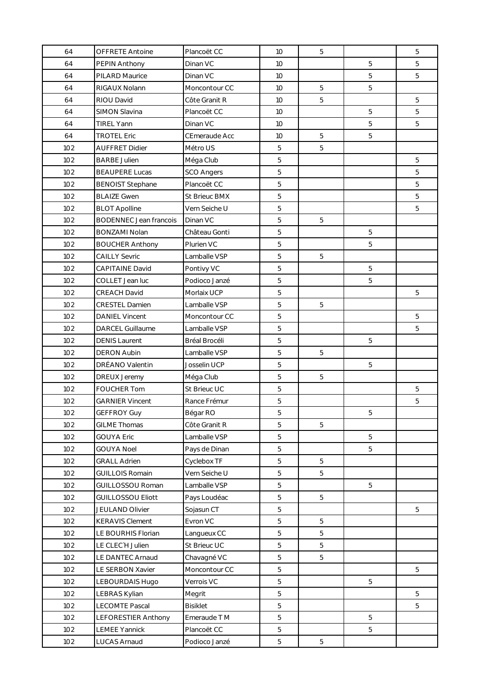| 64  | <b>OFFRETE Antoine</b>        | Plancoët CC       | 10 | 5 |   | 5 |
|-----|-------------------------------|-------------------|----|---|---|---|
| 64  | PEPIN Anthony                 | Dinan VC          | 10 |   | 5 | 5 |
| 64  | PILARD Maurice                | Dinan VC          | 10 |   | 5 | 5 |
| 64  | RIGAUX Nolann                 | Moncontour CC     | 10 | 5 | 5 |   |
| 64  | RIOU David                    | Côte Granit R     | 10 | 5 |   | 5 |
| 64  | SIMON Slavina                 | Plancoët CC       | 10 |   | 5 | 5 |
| 64  | <b>TIREL Yann</b>             | Dinan VC          | 10 |   | 5 | 5 |
| 64  | <b>TROTEL Eric</b>            | CEmeraude Acc     | 10 | 5 | 5 |   |
| 102 | <b>AUFFRET Didier</b>         | Métro US          | 5  | 5 |   |   |
| 102 | <b>BARBE Julien</b>           | Méga Club         | 5  |   |   | 5 |
| 102 | <b>BEAUPERE Lucas</b>         | <b>SCO Angers</b> | 5  |   |   | 5 |
| 102 | <b>BENOIST Stephane</b>       | Plancoët CC       | 5  |   |   | 5 |
| 102 | <b>BLAIZE Gwen</b>            | St Brieuc BMX     | 5  |   |   | 5 |
| 102 | <b>BLOT Apolline</b>          | Vern Seiche U     | 5  |   |   | 5 |
| 102 | <b>BODENNEC Jean francois</b> | Dinan VC          | 5  | 5 |   |   |
| 102 | <b>BONZAMI Nolan</b>          | Château Gonti     | 5  |   | 5 |   |
| 102 | <b>BOUCHER Anthony</b>        | Plurien VC        | 5  |   | 5 |   |
| 102 | <b>CAILLY Sevric</b>          | Lamballe VSP      | 5  | 5 |   |   |
| 102 | <b>CAPITAINE David</b>        | Pontivy VC        | 5  |   | 5 |   |
| 102 | COLLET Jean luc               | Podioco Janzé     | 5  |   | 5 |   |
| 102 | <b>CREACH David</b>           | Morlaix UCP       | 5  |   |   | 5 |
| 102 | <b>CRESTEL Damien</b>         | Lamballe VSP      | 5  | 5 |   |   |
| 102 | <b>DANIEL Vincent</b>         | Moncontour CC     | 5  |   |   | 5 |
| 102 | DARCEL Guillaume              | Lamballe VSP      | 5  |   |   | 5 |
| 102 | <b>DENIS Laurent</b>          | Bréal Brocéli     | 5  |   | 5 |   |
| 102 | <b>DERON Aubin</b>            | Lamballe VSP      | 5  | 5 |   |   |
| 102 | DRÉANO Valentin               | Josselin UCP      | 5  |   | 5 |   |
| 102 | DREUX Jeremy                  | Méga Club         | 5  | 5 |   |   |
| 102 | <b>FOUCHER Tom</b>            | St Brieuc UC      | 5  |   |   | 5 |
| 102 | <b>GARNIER Vincent</b>        | Rance Frémur      | 5  |   |   | 5 |
| 102 | <b>GEFFROY Guy</b>            | Bégar RO          | 5  |   | 5 |   |
| 102 | <b>GILME Thomas</b>           | Côte Granit R     | 5  | 5 |   |   |
| 102 | <b>GOUYA Eric</b>             | Lamballe VSP      | 5  |   | 5 |   |
| 102 | <b>GOUYA Noel</b>             | Pays de Dinan     | 5  |   | 5 |   |
| 102 | <b>GRALL Adrien</b>           | Cyclebox TF       | 5  | 5 |   |   |
| 102 | <b>GUILLOIS Romain</b>        | Vern Seiche U     | 5  | 5 |   |   |
| 102 | GUILLOSSOU Roman              | Lamballe VSP      | 5  |   | 5 |   |
| 102 | <b>GUILLOSSOU Eliott</b>      | Pays Loudéac      | 5  | 5 |   |   |
| 102 | JEULAND Olivier               | Sojasun CT        | 5  |   |   | 5 |
| 102 | <b>KERAVIS Clement</b>        | Evron VC          | 5  | 5 |   |   |
| 102 | LE BOURHIS Florian            | Langueux CC       | 5  | 5 |   |   |
| 102 | LE CLEC'H Julien              | St Brieuc UC      | 5  | 5 |   |   |
| 102 | LE DANTEC Arnaud              | Chavagné VC       | 5  | 5 |   |   |
| 102 | LE SERBON Xavier              | Moncontour CC     | 5  |   |   | 5 |
| 102 | LEBOURDAIS Hugo               | Verrois VC        | 5  |   | 5 |   |
| 102 | LEBRAS Kylian                 | Megrit            | 5  |   |   | 5 |
| 102 | LECOMTE Pascal                | Bisiklet          | 5  |   |   | 5 |
| 102 | LEFORESTIER Anthony           | Emeraude TM       | 5  |   | 5 |   |
| 102 | <b>LEMEE Yannick</b>          | Plancoët CC       | 5  |   | 5 |   |
| 102 | LUCAS Arnaud                  | Podioco Janzé     | 5  | 5 |   |   |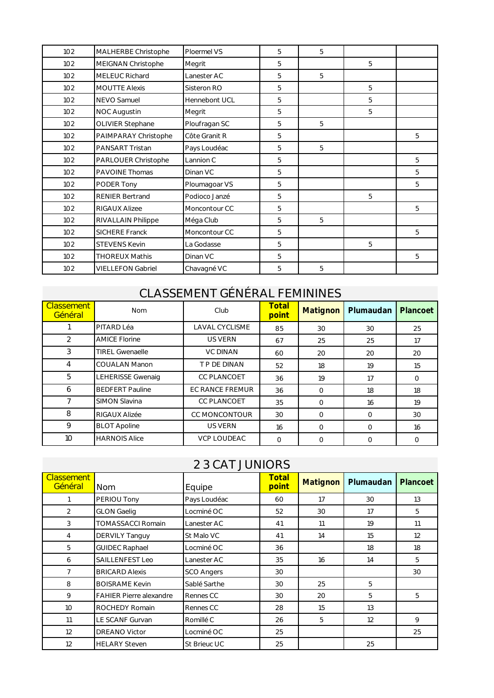| 102 | MALHERBE Christophe      | Ploermel VS   | 5 | 5. |   |   |
|-----|--------------------------|---------------|---|----|---|---|
| 102 | MEIGNAN Christophe       | Megrit        | 5 |    | 5 |   |
| 102 | MELEUC Richard           | Lanester AC   | 5 | 5  |   |   |
| 102 | <b>MOUTTE Alexis</b>     | Sisteron RO   | 5 |    | 5 |   |
| 102 | NEVO Samuel              | Hennebont UCL | 5 |    | 5 |   |
| 102 | NOC Augustin             | Megrit        | 5 |    | 5 |   |
| 102 | OLIVIER Stephane         | Ploufragan SC | 5 | 5  |   |   |
| 102 | PAIMPARAY Christophe     | Côte Granit R | 5 |    |   | 5 |
| 102 | PANSART Tristan          | Pays Loudéac  | 5 | 5  |   |   |
| 102 | PARLOUER Christophe      | Lannion C     | 5 |    |   | 5 |
| 102 | PAVOINE Thomas           | Dinan VC      | 5 |    |   | 5 |
| 102 | PODER Tony               | Ploumagoar VS | 5 |    |   | 5 |
| 102 | <b>RENIER Bertrand</b>   | Podioco Janzé | 5 |    | 5 |   |
| 102 | <b>RIGAUX Alizee</b>     | Moncontour CC | 5 |    |   | 5 |
| 102 | RIVALLAIN Philippe       | Méga Club     | 5 | 5  |   |   |
| 102 | <b>SICHERE Franck</b>    | Moncontour CC | 5 |    |   | 5 |
| 102 | <b>STEVENS Kevin</b>     | La Godasse    | 5 |    | 5 |   |
| 102 | <b>THOREUX Mathis</b>    | Dinan VC      | 5 |    |   | 5 |
| 102 | <b>VIELLEFON Gabriel</b> | Chavagné VC   | 5 | 5  |   |   |

## CLASSEMENT GÉNÉRAL FEMININES

| <b>Classement</b><br>Général | <b>Nom</b>             | Club                   | Total<br>point | Matignon  | Plumaudan | Plancoet  |
|------------------------------|------------------------|------------------------|----------------|-----------|-----------|-----------|
|                              | PITARD Léa             | <b>LAVAL CYCLISME</b>  | 85             | 30        | 30        | 25        |
| $\mathcal{P}$                | <b>AMICE Florine</b>   | <b>US VERN</b>         | 67             | 25        | 25        | 17        |
| 3                            | <b>TIREL Gwenaelle</b> | <b>VC DINAN</b>        | 60             | 20        | 20        | 20        |
| 4                            | <b>COUALAN Manon</b>   | T P DF DINAN           | 52             | 18        | 19        | 15        |
| 5                            | LEHERISSE Gwenaig      | <b>CC PLANCOET</b>     | 36             | 19        | 17        | $\bigcap$ |
| 6                            | <b>BEDFERT Pauline</b> | <b>EC RANCE FREMUR</b> | 36             | $\bigcap$ | 18        | 18        |
|                              | <b>SIMON Slavina</b>   | <b>CC PLANCOET</b>     | 35             | $\bigcap$ | 16        | 19        |
| 8                            | RIGAUX Alizée          | <b>CC MONCONTOUR</b>   | 30             | $\Omega$  | $\bigcap$ | 30        |
| 9                            | <b>BLOT Apoline</b>    | <b>US VERN</b>         | 16             | $\Omega$  | ∩         | 16        |
| 10                           | <b>HARNOIS Alice</b>   | <b>VCP LOUDEAC</b>     | $\bigcap$      | $\cap$    | ∩         | ∩         |

## 2 3 CAT JUNIORS

| <b>Classement</b><br>Général | <b>Nom</b>                     | Equipe            | Total<br>point | Matignon | Plumaudan | Plancoet |
|------------------------------|--------------------------------|-------------------|----------------|----------|-----------|----------|
|                              | PERIOU Tony                    | Pays Loudéac      | 60             | 17       | 30        | 13       |
| 2                            | <b>GLON Gaelig</b>             | Locminé OC        | 52             | 30       | 17        | 5        |
| 3                            | <b>TOMASSACCI Romain</b>       | Lanester AC       | 41             | 11       | 19        | 11       |
| 4                            | <b>DERVILY Tanguy</b>          | St Malo VC        | 41             | 14       | 15        | 12       |
| 5                            | <b>GUIDEC Raphael</b>          | Locminé OC        | 36             |          | 18        | 18       |
| 6                            | SAILLENFEST Leo                | Lanester AC       | 35             | 16       | 14        | 5        |
| 7                            | <b>BRICARD Alexis</b>          | <b>SCO Angers</b> | 30             |          |           | 30       |
| 8                            | <b>BOISRAME Kevin</b>          | Sablé Sarthe      | 30             | 25       | 5         |          |
| 9                            | <b>FAHIER Pierre alexandre</b> | Rennes CC         | 30             | 20       | 5         | 5        |
| 10 <sup>°</sup>              | ROCHEDY Romain                 | Rennes CC         | 28             | 15       | 13        |          |
| 11                           | LE SCANF Gurvan                | Romillé C         | 26             | 5        | 12        | 9        |
| 12                           | <b>DREANO Victor</b>           | Locminé OC        | 25             |          |           | 25       |
| 12                           | <b>HELARY Steven</b>           | St Brieuc UC      | 25             |          | 25        |          |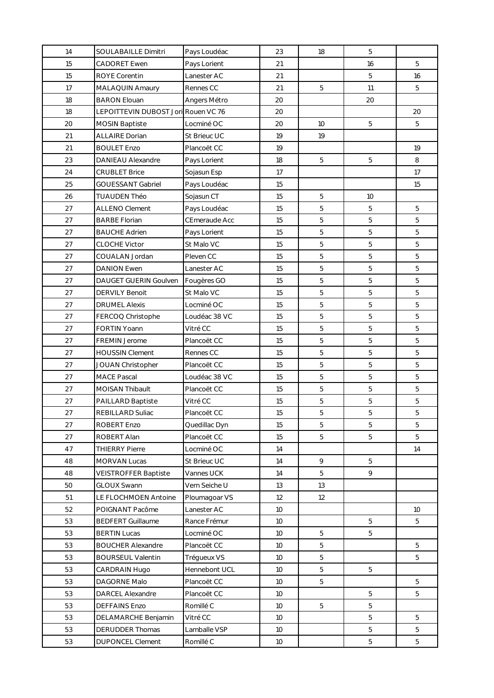| 14 | SOULABAILLE Dimitri                 | Pays Loudéac  | 23              | 18          | 5               |    |
|----|-------------------------------------|---------------|-----------------|-------------|-----------------|----|
| 15 | <b>CADORET Ewen</b>                 | Pays Lorient  | 21              |             | 16              | 5  |
| 15 | <b>ROYE Corentin</b>                | Lanester AC   | 21              |             | 5               | 16 |
| 17 | MALAQUIN Amaury                     | Rennes CC     | 21              | 5           | 11              | 5  |
| 18 | <b>BARON Elouan</b>                 | Angers Métro  | 20              |             | 20              |    |
| 18 | LEPOITTEVIN DUBOST Jori Rouen VC 76 |               | 20              |             |                 | 20 |
| 20 | <b>MOSIN Baptiste</b>               | Locminé OC    | 20              | 10          | 5               | 5  |
| 21 | <b>ALLAIRE Dorian</b>               | St Brieuc UC  | 19              | 19          |                 |    |
| 21 | <b>BOULET Enzo</b>                  | Plancoët CC   | 19              |             |                 | 19 |
| 23 | DANIEAU Alexandre                   | Pays Lorient  | 18              | 5           | 5               | 8  |
| 24 | <b>CRUBLET Brice</b>                | Sojasun Esp   | 17              |             |                 | 17 |
| 25 | <b>GOUESSANT Gabriel</b>            | Pays Loudéac  | 15              |             |                 | 15 |
| 26 | <b>TUAUDEN Théo</b>                 | Sojasun CT    | 15              | 5           | 10 <sup>°</sup> |    |
| 27 | <b>ALLENO Clement</b>               | Pays Loudéac  | 15              | 5           | 5               | 5  |
| 27 | <b>BARBE Florian</b>                | CEmeraude Acc | 15              | 5           | 5               | 5  |
| 27 | <b>BAUCHE Adrien</b>                | Pays Lorient  | 15              | 5           | 5               | 5  |
| 27 | <b>CLOCHE Victor</b>                | St Malo VC    | 15              | 5           | 5               | 5  |
| 27 | COUALAN Jordan                      | Pleven CC     | 15              | 5           | 5               | 5  |
| 27 | <b>DANION Ewen</b>                  | Lanester AC   | 15              | 5           | 5               | 5  |
| 27 | DAUGET GUERIN Goulven               | Fougères GO   | 15              | 5           | 5               | 5  |
| 27 | <b>DERVILY Benoit</b>               | St Malo VC    | 15              | 5           | 5               | 5  |
| 27 | <b>DRUMEL Alexis</b>                | Locminé OC    | 15              | 5           | 5               | 5  |
| 27 | FERCOQ Christophe                   | Loudéac 38 VC | 15              | 5           | 5               | 5  |
| 27 | <b>FORTIN Yoann</b>                 | Vitré CC      | 15              | 5           | 5               | 5  |
| 27 | FREMIN Jerome                       | Plancoët CC   | 15              | 5           | 5               | 5  |
| 27 | <b>HOUSSIN Clement</b>              | Rennes CC     | 15              | 5           | 5               | 5  |
| 27 | JOUAN Christopher                   | Plancoët CC   | 15              | 5           | 5               | 5  |
| 27 | <b>MACE Pascal</b>                  | Loudéac 38 VC | 15              | 5           | 5               | 5  |
| 27 | <b>MOISAN Thibault</b>              | Plancoët CC   | 15              | $\mathbf 5$ | 5               | 5  |
| 27 | PAILLARD Baptiste                   | Vitré CC      | 15              | 5           | 5               | 5  |
| 27 | REBILLARD Suliac                    | Plancoët CC   | 15              | 5           | 5               | 5  |
| 27 | ROBERT Enzo                         | Quedillac Dyn | 15              | 5           | 5               | 5  |
| 27 | ROBERT Alan                         | Plancoët CC   | 15              | 5           | 5               | 5  |
| 47 | <b>THIERRY Pierre</b>               | Locminé OC    | 14              |             |                 | 14 |
| 48 | MORVAN Lucas                        | St Brieuc UC  | 14              | 9           | 5               |    |
| 48 | <b>VEISTROFFER Baptiste</b>         | Vannes UCK    | 14              | 5           | 9               |    |
| 50 | <b>GLOUX Swann</b>                  | Vern Seiche U | 13              | 13          |                 |    |
| 51 | LE FLOCHMOEN Antoine                | Ploumagoar VS | 12              | 12          |                 |    |
| 52 | POIGNANT Pacôme                     | Lanester AC   | 10 <sup>°</sup> |             |                 | 10 |
| 53 | <b>BEDFERT Guillaume</b>            | Rance Frémur  | 10 <sup>°</sup> |             | 5               | 5  |
| 53 | <b>BERTIN Lucas</b>                 | Locminé OC    | 10 <sup>°</sup> | 5           | 5               |    |
| 53 | <b>BOUCHER Alexandre</b>            | Plancoët CC   | 10 <sup>°</sup> | 5           |                 | 5  |
| 53 | <b>BOURSEUL Valentin</b>            | Trégueux VS   | 10              | 5           |                 | 5  |
| 53 | CARDRAIN Hugo                       | Hennebont UCL | 10 <sup>°</sup> | 5           | 5               |    |
| 53 | <b>DAGORNE Malo</b>                 | Plancoët CC   | 10 <sup>°</sup> | 5           |                 | 5  |
| 53 | DARCEL Alexandre                    | Plancoët CC   | 10 <sup>°</sup> |             | 5               | 5  |
| 53 | <b>DEFFAINS Enzo</b>                | Romillé C     | 10 <sup>°</sup> | 5           | 5               |    |
| 53 | DELAMARCHE Benjamin                 | Vitré CC      | 10 <sup>°</sup> |             | 5               | 5  |
| 53 | DERUDDER Thomas                     | Lamballe VSP  | 10 <sup>°</sup> |             | 5               | 5  |
| 53 | DUPONCEL Clement                    | Romillé C     | 10              |             | 5               | 5  |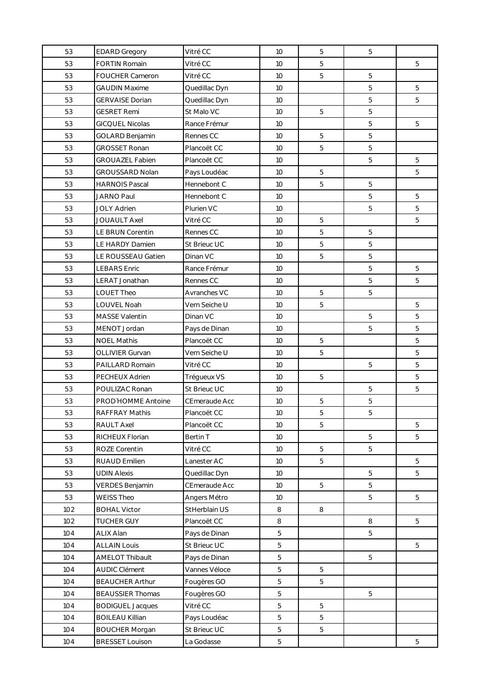| 53  | <b>EDARD Gregory</b>    | Vitré CC      | 10 | 5              | 5 |             |
|-----|-------------------------|---------------|----|----------------|---|-------------|
| 53  | <b>FORTIN Romain</b>    | Vitré CC      | 10 | 5              |   | 5           |
| 53  | <b>FOUCHER Cameron</b>  | Vitré CC      | 10 | 5              | 5 |             |
| 53  | <b>GAUDIN Maxime</b>    | Quedillac Dyn | 10 |                | 5 | 5           |
| 53  | <b>GERVAISE Dorian</b>  | Quedillac Dyn | 10 |                | 5 | 5           |
| 53  | <b>GESRET Remi</b>      | St Malo VC    | 10 | 5              | 5 |             |
| 53  | <b>GICQUEL Nicolas</b>  | Rance Frémur  | 10 |                | 5 | 5           |
| 53  | GOLARD Benjamin         | Rennes CC     | 10 | $\overline{5}$ | 5 |             |
| 53  | <b>GROSSET Ronan</b>    | Plancoët CC   | 10 | 5              | 5 |             |
| 53  | <b>GROUAZEL Fabien</b>  | Plancoët CC   | 10 |                | 5 | $\mathbf 5$ |
| 53  | GROUSSARD Nolan         | Pays Loudéac  | 10 | 5              |   | 5           |
| 53  | <b>HARNOIS Pascal</b>   | Hennebont C   | 10 | 5              | 5 |             |
| 53  | <b>JARNO Paul</b>       | Hennebont C   | 10 |                | 5 | 5           |
| 53  | <b>JOLY Adrien</b>      | Plurien VC    | 10 |                | 5 | 5           |
| 53  | <b>JOUAULT Axel</b>     | Vitré CC      | 10 | $\overline{5}$ |   | 5           |
| 53  | LE BRUN Corentin        | Rennes CC     | 10 | 5              | 5 |             |
| 53  | LE HARDY Damien         | St Brieuc UC  | 10 | 5              | 5 |             |
| 53  | LE ROUSSEAU Gatien      | Dinan VC      | 10 | 5              | 5 |             |
| 53  | <b>LEBARS Enric</b>     | Rance Frémur  | 10 |                | 5 | 5           |
| 53  | LERAT Jonathan          | Rennes CC     | 10 |                | 5 | 5           |
| 53  | LOUET Theo              | Avranches VC  | 10 | 5              | 5 |             |
| 53  | LOUVEL Noah             | Vern Seiche U | 10 | 5              |   | 5           |
| 53  | <b>MASSE Valentin</b>   | Dinan VC      | 10 |                | 5 | 5           |
| 53  | MENOT Jordan            | Pays de Dinan | 10 |                | 5 | 5           |
| 53  | <b>NOEL Mathis</b>      | Plancoët CC   | 10 | 5              |   | 5           |
| 53  | OLLIVIER Gurvan         | Vern Seiche U | 10 | 5              |   | 5           |
| 53  | PAILLARD Romain         | Vitré CC      | 10 |                | 5 | 5           |
| 53  | PECHEUX Adrien          | Trégueux VS   | 10 | 5              |   | 5           |
| 53  | POULIZAC Ronan          | St Brieuc UC  | 10 |                | 5 | 5           |
| 53  | PROD'HOMME Antoine      | CEmeraude Acc | 10 | 5              | 5 |             |
| 53  | <b>RAFFRAY Mathis</b>   | Plancoët CC   | 10 | 5              | 5 |             |
| 53  | RAULT Axel              | Plancoët CC   | 10 | 5              |   | 5           |
| 53  | RICHEUX Florian         | Bertin T      | 10 |                | 5 | 5           |
| 53  | ROZE Corentin           | Vitré CC      | 10 | 5              | 5 |             |
| 53  | <b>RUAUD Emilien</b>    | Lanester AC   | 10 | 5              |   | 5           |
| 53  | <b>UDIN Alexis</b>      | Quedillac Dyn | 10 |                | 5 | 5           |
| 53  | <b>VERDES Benjamin</b>  | CEmeraude Acc | 10 | 5              | 5 |             |
| 53  | <b>WEISS Theo</b>       | Angers Métro  | 10 |                | 5 | 5           |
| 102 | <b>BOHAL Victor</b>     | StHerblain US | 8  | 8              |   |             |
| 102 | TUCHER GUY              | Plancoët CC   | 8  |                | 8 | 5           |
| 104 | ALIX Alan               | Pays de Dinan | 5  |                | 5 |             |
| 104 | <b>ALLAIN Louis</b>     | St Brieuc UC  | 5  |                |   | 5           |
| 104 | AMELOT Thibault         | Pays de Dinan | 5  |                | 5 |             |
| 104 | AUDIC Clément           | Vannes Véloce | 5  | 5              |   |             |
| 104 | <b>BEAUCHER Arthur</b>  | Fougères GO   | 5  | 5              |   |             |
| 104 | <b>BEAUSSIER Thomas</b> | Fougères GO   | 5  |                | 5 |             |
| 104 | <b>BODIGUEL Jacques</b> | Vitré CC      | 5  | 5              |   |             |
| 104 | <b>BOILEAU Killian</b>  | Pays Loudéac  | 5  | 5              |   |             |
| 104 | <b>BOUCHER Morgan</b>   | St Brieuc UC  | 5  | 5              |   |             |
| 104 | <b>BRESSET Louison</b>  | La Godasse    | 5  |                |   | 5           |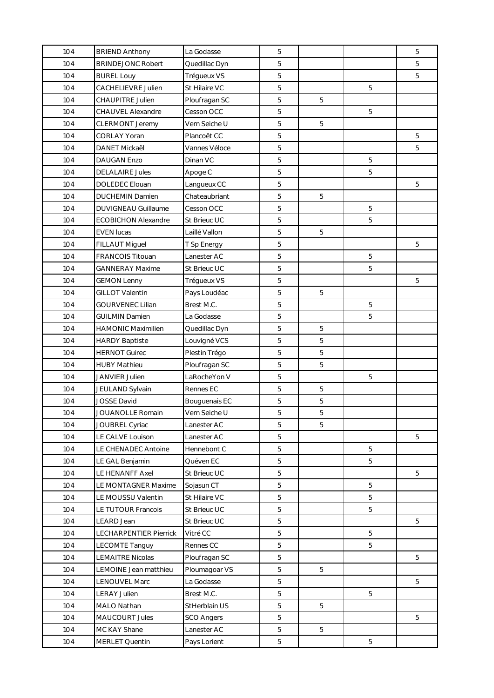| 104 | <b>BRIEND Anthony</b>         | La Godasse        | 5 |   |             | 5 |
|-----|-------------------------------|-------------------|---|---|-------------|---|
| 104 | <b>BRINDEJONC Robert</b>      | Quedillac Dyn     | 5 |   |             | 5 |
| 104 | <b>BUREL Louy</b>             | Trégueux VS       | 5 |   |             | 5 |
| 104 | CACHELIEVRE Julien            | St Hilaire VC     | 5 |   | 5           |   |
| 104 | <b>CHAUPITRE Julien</b>       | Ploufragan SC     | 5 | 5 |             |   |
| 104 | CHAUVEL Alexandre             | Cesson OCC        | 5 |   | 5           |   |
| 104 | CLERMONT Jeremy               | Vern Seiche U     | 5 | 5 |             |   |
| 104 | <b>CORLAY Yoran</b>           | Plancoët CC       | 5 |   |             | 5 |
| 104 | DANET Mickaël                 | Vannes Véloce     | 5 |   |             | 5 |
| 104 | <b>DAUGAN Enzo</b>            | Dinan VC          | 5 |   | $\mathbf 5$ |   |
| 104 | <b>DELALAIRE Jules</b>        | Apoge C           | 5 |   | 5           |   |
| 104 | DOLEDEC Elouan                | Langueux CC       | 5 |   |             | 5 |
| 104 | DUCHEMIN Damien               | Chateaubriant     | 5 | 5 |             |   |
| 104 | <b>DUVIGNEAU Guillaume</b>    | Cesson OCC        | 5 |   | 5           |   |
| 104 | <b>ECOBICHON Alexandre</b>    | St Brieuc UC      | 5 |   | 5           |   |
| 104 | <b>EVEN lucas</b>             | Laillé Vallon     | 5 | 5 |             |   |
| 104 | FILLAUT Miguel                | T Sp Energy       | 5 |   |             | 5 |
| 104 | FRANCOIS Titouan              | Lanester AC       | 5 |   | 5           |   |
| 104 | <b>GANNERAY Maxime</b>        | St Brieuc UC      | 5 |   | 5           |   |
| 104 | <b>GEMON Lenny</b>            | Trégueux VS       | 5 |   |             | 5 |
| 104 | <b>GILLOT Valentin</b>        | Pays Loudéac      | 5 | 5 |             |   |
| 104 | <b>GOURVENEC Lilian</b>       | Brest M.C.        | 5 |   | 5           |   |
| 104 | <b>GUILMIN Damien</b>         | La Godasse        | 5 |   | 5           |   |
| 104 | <b>HAMONIC Maximilien</b>     | Quedillac Dyn     | 5 | 5 |             |   |
| 104 | <b>HARDY Baptiste</b>         | Louvigné VCS      | 5 | 5 |             |   |
| 104 | <b>HERNOT Guirec</b>          | Plestin Trégo     | 5 | 5 |             |   |
| 104 | <b>HUBY Mathieu</b>           | Ploufragan SC     | 5 | 5 |             |   |
| 104 | JANVIER Julien                | LaRocheYon V      | 5 |   | 5           |   |
| 104 | JEULAND Sylvain               | Rennes EC         | 5 | 5 |             |   |
| 104 | <b>JOSSE David</b>            | Bouguenais EC     | 5 | 5 |             |   |
| 104 | JOUANOLLE Romain              | Vern Seiche U     | 5 | 5 |             |   |
| 104 | JOUBREL Cyriac                | Lanester AC       | 5 | 5 |             |   |
| 104 | LE CALVE Louison              | Lanester AC       | 5 |   |             | 5 |
| 104 | LE CHENADEC Antoine           | Hennebont C       | 5 |   | 5           |   |
| 104 | LE GAL Benjamin               | Quéven EC         | 5 |   | 5           |   |
| 104 | LE HENANFF Axel               | St Brieuc UC      | 5 |   |             | 5 |
| 104 | LE MONTAGNER Maxime           | Sojasun CT        | 5 |   | 5           |   |
| 104 | LE MOUSSU Valentin            | St Hilaire VC     | 5 |   | 5           |   |
| 104 | LE TUTOUR Francois            | St Brieuc UC      | 5 |   | 5           |   |
| 104 | LEARD Jean                    | St Brieuc UC      | 5 |   |             | 5 |
| 104 | <b>LECHARPENTIER Pierrick</b> | Vitré CC          | 5 |   | 5           |   |
| 104 | LECOMTE Tanguy                | Rennes CC         | 5 |   | 5           |   |
| 104 | <b>LEMAITRE Nicolas</b>       | Ploufragan SC     | 5 |   |             | 5 |
| 104 | LEMOINE Jean matthieu         | Ploumagoar VS     | 5 | 5 |             |   |
| 104 | LENOUVEL Marc                 | La Godasse        | 5 |   |             | 5 |
| 104 | <b>LERAY Julien</b>           | Brest M.C.        | 5 |   | 5           |   |
| 104 | MALO Nathan                   | StHerblain US     | 5 | 5 |             |   |
| 104 | MAUCOURT Jules                | <b>SCO Angers</b> | 5 |   |             | 5 |
| 104 | MC KAY Shane                  | Lanester AC       | 5 | 5 |             |   |
| 104 | <b>MERLET Quentin</b>         | Pays Lorient      | 5 |   | 5           |   |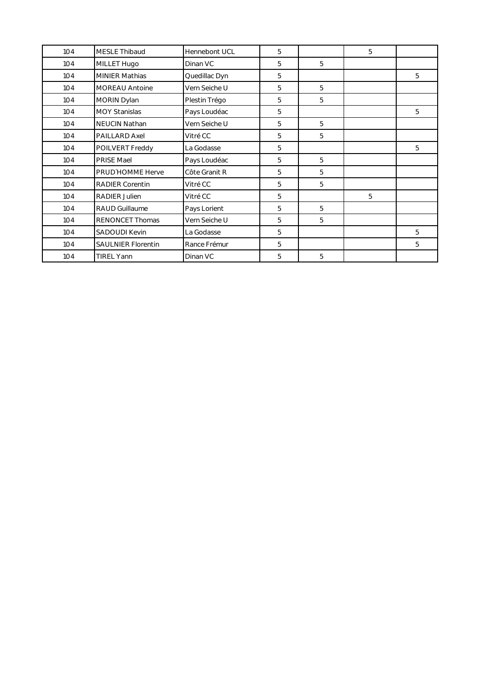| 104 | MESLE Thibaud          | Hennebont UCL | 5 |   | 5 |   |
|-----|------------------------|---------------|---|---|---|---|
| 104 | MILLET Hugo            | Dinan VC      | 5 | 5 |   |   |
| 104 | MINIER Mathias         | Quedillac Dyn | 5 |   |   | 5 |
| 104 | MOREAU Antoine         | Vern Seiche U | 5 | 5 |   |   |
| 104 | MORIN Dylan            | Plestin Trégo | 5 | 5 |   |   |
| 104 | <b>MOY Stanislas</b>   | Pays Loudéac  | 5 |   |   | 5 |
| 104 | <b>NEUCIN Nathan</b>   | Vern Seiche U | 5 | 5 |   |   |
| 104 | PAILLARD Axel          | Vitré CC      | 5 | 5 |   |   |
| 104 | POILVERT Freddy        | La Godasse    | 5 |   |   | 5 |
| 104 | PRISE Mael             | Pays Loudéac  | 5 | 5 |   |   |
| 104 | PRUD HOMME Herve       | Côte Granit R | 5 | 5 |   |   |
| 104 | RADIER Corentin        | Vitré CC      | 5 | 5 |   |   |
| 104 | RADIER Julien          | Vitré CC      | 5 |   | 5 |   |
| 104 | RAUD Guillaume         | Pays Lorient  | 5 | 5 |   |   |
| 104 | <b>RENONCET Thomas</b> | Vern Seiche U | 5 | 5 |   |   |
| 104 | SADOUDI Kevin          | La Godasse    | 5 |   |   | 5 |
| 104 | SAULNIER Florentin     | Rance Frémur  | 5 |   |   | 5 |
| 104 | <b>TIREL Yann</b>      | Dinan VC      | 5 | 5 |   |   |